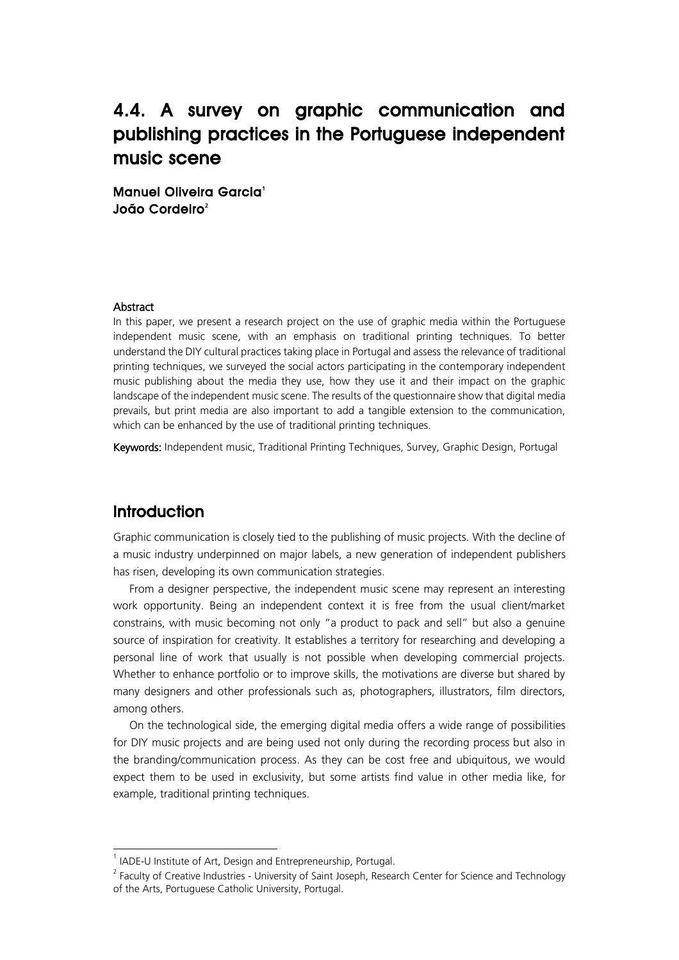# 4.4. A survey on graphic communication and publishing practices in the Portuguese independent music scene

Manuel Oliveira Garcia<sup>1</sup> João Cordeiro<sup>2</sup>

#### Abstract

In this paper, we present a research project on the use of graphic media within the Portuguese independent music scene, with an emphasis on traditional printing techniques. To better understand the DIY cultural practices taking place in Portugal and assess the relevance of traditional printing techniques, we surveyed the social actors participating in the contemporary independent music publishing about the media they use, how they use it and their impact on the graphic landscape of the independent music scene. The results of the questionnaire show that digital media prevails, but print media are also important to add a tangible extension to the communication, which can be enhanced by the use of traditional printing techniques.

Keywords: Independent music, Traditional Printing Techniques, Survey, Graphic Design, Portugal

## **Introduction**

Graphic communication is closely tied to the publishing of music projects. With the decline of a music industry underpinned on major labels, a new generation of independent publishers has risen, developing its own communication strategies.

From a designer perspective, the independent music scene may represent an interesting work opportunity. Being an independent context it is free from the usual client/market constrains, with music becoming not only "a product to pack and sell" but also a genuine source of inspiration for creativity. It establishes a territory for researching and developing a personal line of work that usually is not possible when developing commercial projects. Whether to enhance portfolio or to improve skills, the motivations are diverse but shared by many designers and other professionals such as, photographers, illustrators, film directors, among others.

On the technological side, the emerging digital media offers a wide range of possibilities for DIY music projects and are being used not only during the recording process but also in the branding/communication process. As they can be cost free and ubiquitous, we would expect them to be used in exclusivity, but some artists find value in other media like, for example, traditional printing techniques.

 $\frac{1}{1}$  $1$  IADE-U Institute of Art, Design and Entrepreneurship, Portugal.

<sup>&</sup>lt;sup>2</sup> Faculty of Creative Industries - University of Saint Joseph, Research Center for Science and Technology of the Arts, Portuguese Catholic University, Portugal.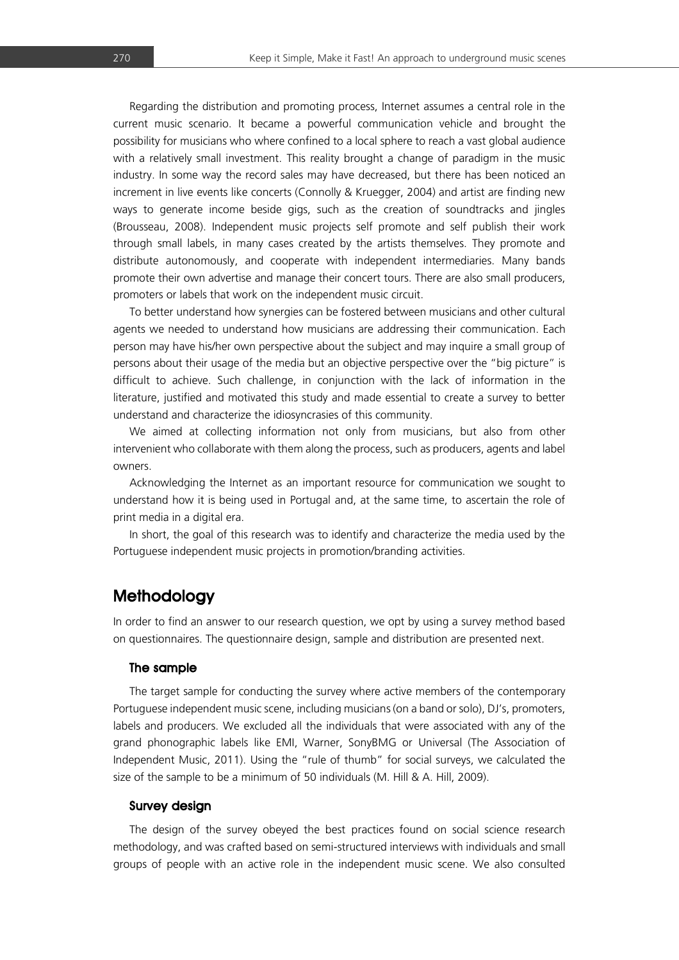Regarding the distribution and promoting process, Internet assumes a central role in the current music scenario. It became a powerful communication vehicle and brought the possibility for musicians who where confined to a local sphere to reach a vast global audience with a relatively small investment. This reality brought a change of paradigm in the music industry. In some way the record sales may have decreased, but there has been noticed an increment in live events like concerts (Connolly & Kruegger, 2004) and artist are finding new ways to generate income beside gigs, such as the creation of soundtracks and jingles (Brousseau, 2008). Independent music projects self promote and self publish their work through small labels, in many cases created by the artists themselves. They promote and distribute autonomously, and cooperate with independent intermediaries. Many bands promote their own advertise and manage their concert tours. There are also small producers, promoters or labels that work on the independent music circuit.

To better understand how synergies can be fostered between musicians and other cultural agents we needed to understand how musicians are addressing their communication. Each person may have his/her own perspective about the subject and may inquire a small group of persons about their usage of the media but an objective perspective over the "big picture" is difficult to achieve. Such challenge, in conjunction with the lack of information in the literature, justified and motivated this study and made essential to create a survey to better understand and characterize the idiosyncrasies of this community.

We aimed at collecting information not only from musicians, but also from other intervenient who collaborate with them along the process, such as producers, agents and label owners.

Acknowledging the Internet as an important resource for communication we sought to understand how it is being used in Portugal and, at the same time, to ascertain the role of print media in a digital era.

In short, the goal of this research was to identify and characterize the media used by the Portuguese independent music projects in promotion/branding activities.

# **Methodology**

In order to find an answer to our research question, we opt by using a survey method based on questionnaires. The questionnaire design, sample and distribution are presented next.

#### The sample

The target sample for conducting the survey where active members of the contemporary Portuguese independent music scene, including musicians (on a band or solo), DJ's, promoters, labels and producers. We excluded all the individuals that were associated with any of the grand phonographic labels like EMI, Warner, SonyBMG or Universal (The Association of Independent Music, 2011). Using the "rule of thumb" for social surveys, we calculated the size of the sample to be a minimum of 50 individuals (M. Hill & A. Hill, 2009).

#### Survey design

The design of the survey obeyed the best practices found on social science research methodology, and was crafted based on semi-structured interviews with individuals and small groups of people with an active role in the independent music scene. We also consulted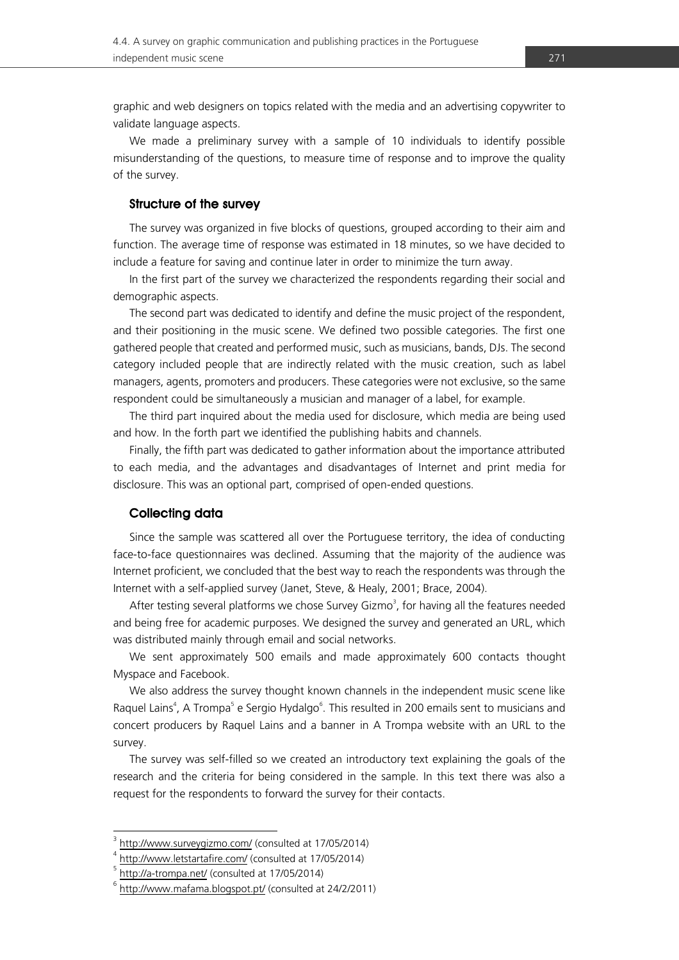graphic and web designers on topics related with the media and an advertising copywriter to validate language aspects.

We made a preliminary survey with a sample of 10 individuals to identify possible misunderstanding of the questions, to measure time of response and to improve the quality of the survey.

#### Structure of the survey

The survey was organized in five blocks of questions, grouped according to their aim and function. The average time of response was estimated in 18 minutes, so we have decided to include a feature for saving and continue later in order to minimize the turn away.

In the first part of the survey we characterized the respondents regarding their social and demographic aspects.

The second part was dedicated to identify and define the music project of the respondent, and their positioning in the music scene. We defined two possible categories. The first one gathered people that created and performed music, such as musicians, bands, DJs. The second category included people that are indirectly related with the music creation, such as label managers, agents, promoters and producers. These categories were not exclusive, so the same respondent could be simultaneously a musician and manager of a label, for example.

The third part inquired about the media used for disclosure, which media are being used and how. In the forth part we identified the publishing habits and channels.

Finally, the fifth part was dedicated to gather information about the importance attributed to each media, and the advantages and disadvantages of Internet and print media for disclosure. This was an optional part, comprised of open-ended questions.

#### Collecting data

Since the sample was scattered all over the Portuguese territory, the idea of conducting face-to-face questionnaires was declined. Assuming that the majority of the audience was Internet proficient, we concluded that the best way to reach the respondents was through the Internet with a self-applied survey (Janet, Steve, & Healy, 2001; Brace, 2004).

After testing several platforms we chose Survey Gizmo<sup>3</sup>, for having all the features needed and being free for academic purposes. We designed the survey and generated an URL, which was distributed mainly through email and social networks.

We sent approximately 500 emails and made approximately 600 contacts thought Myspace and Facebook.

We also address the survey thought known channels in the independent music scene like Raquel Lains<sup>4</sup>, A Trompa<sup>5</sup> e Sergio Hydalgo<sup>6</sup>. This resulted in 200 emails sent to musicians and concert producers by Raquel Lains and a banner in A Trompa website with an URL to the survey.

The survey was self-filled so we created an introductory text explaining the goals of the research and the criteria for being considered in the sample. In this text there was also a request for the respondents to forward the survey for their contacts.

<sup>-&</sup>lt;br>3 <http://www.surveygizmo.com/> (consulted at 17/05/2014)

<http://www.letstartafire.com/> (consulted at 17/05/2014)

<http://a-trompa.net/> (consulted at 17/05/2014)

<sup>6</sup> <http://www.mafama.blogspot.pt/> (consulted at 24/2/2011)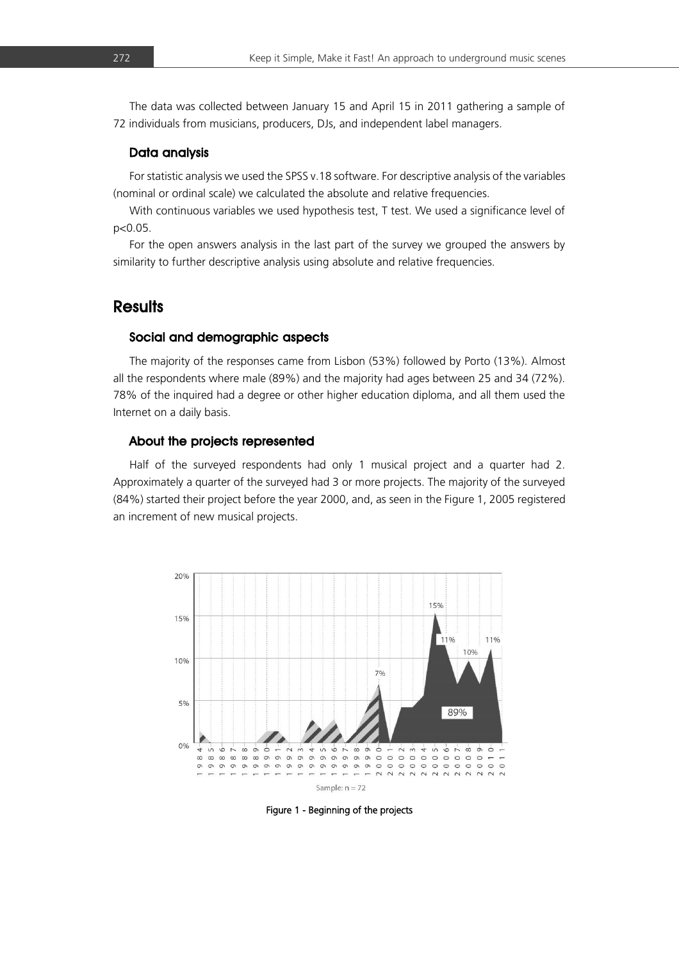The data was collected between January 15 and April 15 in 2011 gathering a sample of 72 individuals from musicians, producers, DJs, and independent label managers.

#### Data analysis

For statistic analysis we used the SPSS v.18 software. For descriptive analysis of the variables (nominal or ordinal scale) we calculated the absolute and relative frequencies.

With continuous variables we used hypothesis test, T test. We used a significance level of p<0.05.

For the open answers analysis in the last part of the survey we grouped the answers by similarity to further descriptive analysis using absolute and relative frequencies.

### **Results**

#### Social and demographic aspects

The majority of the responses came from Lisbon (53%) followed by Porto (13%). Almost all the respondents where male (89%) and the majority had ages between 25 and 34 (72%). 78% of the inquired had a degree or other higher education diploma, and all them used the Internet on a daily basis.

#### About the projects represented

Half of the surveyed respondents had only 1 musical project and a quarter had 2. Approximately a quarter of the surveyed had 3 or more projects. The majority of the surveyed (84%) started their project before the year 2000, and, as seen in the Figure 1, 2005 registered an increment of new musical projects.



Figure 1 - Beginning of the projects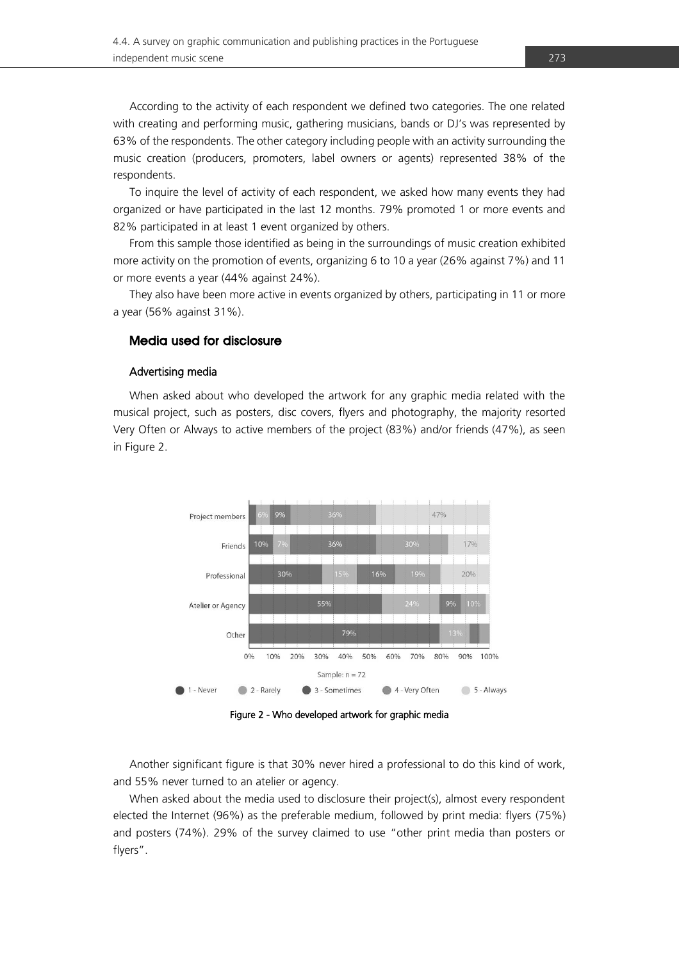According to the activity of each respondent we defined two categories. The one related with creating and performing music, gathering musicians, bands or DJ's was represented by 63% of the respondents. The other category including people with an activity surrounding the music creation (producers, promoters, label owners or agents) represented 38% of the respondents.

To inquire the level of activity of each respondent, we asked how many events they had organized or have participated in the last 12 months. 79% promoted 1 or more events and 82% participated in at least 1 event organized by others.

From this sample those identified as being in the surroundings of music creation exhibited more activity on the promotion of events, organizing 6 to 10 a year (26% against 7%) and 11 or more events a year (44% against 24%).

They also have been more active in events organized by others, participating in 11 or more a year (56% against 31%).

#### Media used for disclosure

#### Advertising media

When asked about who developed the artwork for any graphic media related with the musical project, such as posters, disc covers, flyers and photography, the majority resorted Very Often or Always to active members of the project (83%) and/or friends (47%), as seen in Figure 2.



Figure 2 - Who developed artwork for graphic media

Another significant figure is that 30% never hired a professional to do this kind of work, and 55% never turned to an atelier or agency.

When asked about the media used to disclosure their project(s), almost every respondent elected the Internet (96%) as the preferable medium, followed by print media: flyers (75%) and posters (74%). 29% of the survey claimed to use "other print media than posters or flyers".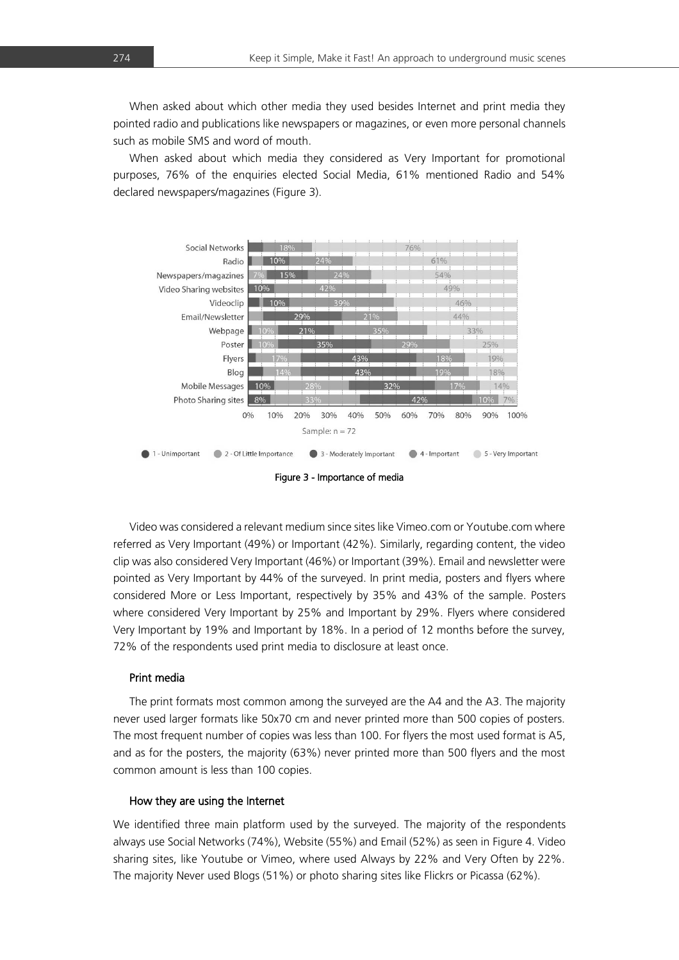When asked about which other media they used besides Internet and print media they pointed radio and publications like newspapers or magazines, or even more personal channels such as mobile SMS and word of mouth.

When asked about which media they considered as Very Important for promotional purposes, 76% of the enquiries elected Social Media, 61% mentioned Radio and 54% declared newspapers/magazines (Figure 3).



Figure 3 - Importance of media

Video was considered a relevant medium since sites like Vimeo.com or Youtube.com where referred as Very Important (49%) or Important (42%). Similarly, regarding content, the video clip was also considered Very Important (46%) or Important (39%). Email and newsletter were pointed as Very Important by 44% of the surveyed. In print media, posters and flyers where considered More or Less Important, respectively by 35% and 43% of the sample. Posters where considered Very Important by 25% and Important by 29%. Flyers where considered Very Important by 19% and Important by 18%. In a period of 12 months before the survey, 72% of the respondents used print media to disclosure at least once.

#### Print media

The print formats most common among the surveyed are the A4 and the A3. The majority never used larger formats like 50x70 cm and never printed more than 500 copies of posters. The most frequent number of copies was less than 100. For flyers the most used format is A5, and as for the posters, the majority (63%) never printed more than 500 flyers and the most common amount is less than 100 copies.

#### How they are using the Internet

We identified three main platform used by the surveyed. The majority of the respondents always use Social Networks (74%), Website (55%) and Email (52%) as seen in Figure 4. Video sharing sites, like Youtube or Vimeo, where used Always by 22% and Very Often by 22%. The majority Never used Blogs (51%) or photo sharing sites like Flickrs or Picassa (62%).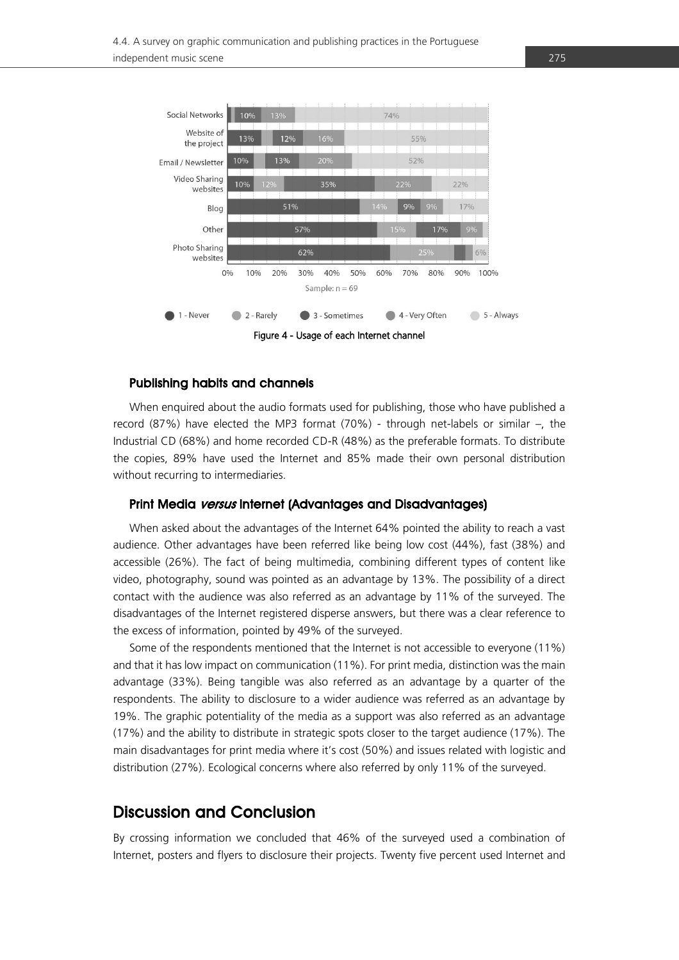

#### Publishing habits and channels

When enquired about the audio formats used for publishing, those who have published a record (87%) have elected the MP3 format (70%) - through net-labels or similar –, the Industrial CD (68%) and home recorded CD-R (48%) as the preferable formats. To distribute the copies, 89% have used the Internet and 85% made their own personal distribution without recurring to intermediaries.

#### Print Media versus Internet (Advantages and Disadvantages)

When asked about the advantages of the Internet 64% pointed the ability to reach a vast audience. Other advantages have been referred like being low cost (44%), fast (38%) and accessible (26%). The fact of being multimedia, combining different types of content like video, photography, sound was pointed as an advantage by 13%. The possibility of a direct contact with the audience was also referred as an advantage by 11% of the surveyed. The disadvantages of the Internet registered disperse answers, but there was a clear reference to the excess of information, pointed by 49% of the surveyed.

Some of the respondents mentioned that the Internet is not accessible to everyone (11%) and that it has low impact on communication (11%). For print media, distinction was the main advantage (33%). Being tangible was also referred as an advantage by a quarter of the respondents. The ability to disclosure to a wider audience was referred as an advantage by 19%. The graphic potentiality of the media as a support was also referred as an advantage (17%) and the ability to distribute in strategic spots closer to the target audience (17%). The main disadvantages for print media where it's cost (50%) and issues related with logistic and distribution (27%). Ecological concerns where also referred by only 11% of the surveyed.

### Discussion and Conclusion

By crossing information we concluded that 46% of the surveyed used a combination of Internet, posters and flyers to disclosure their projects. Twenty five percent used Internet and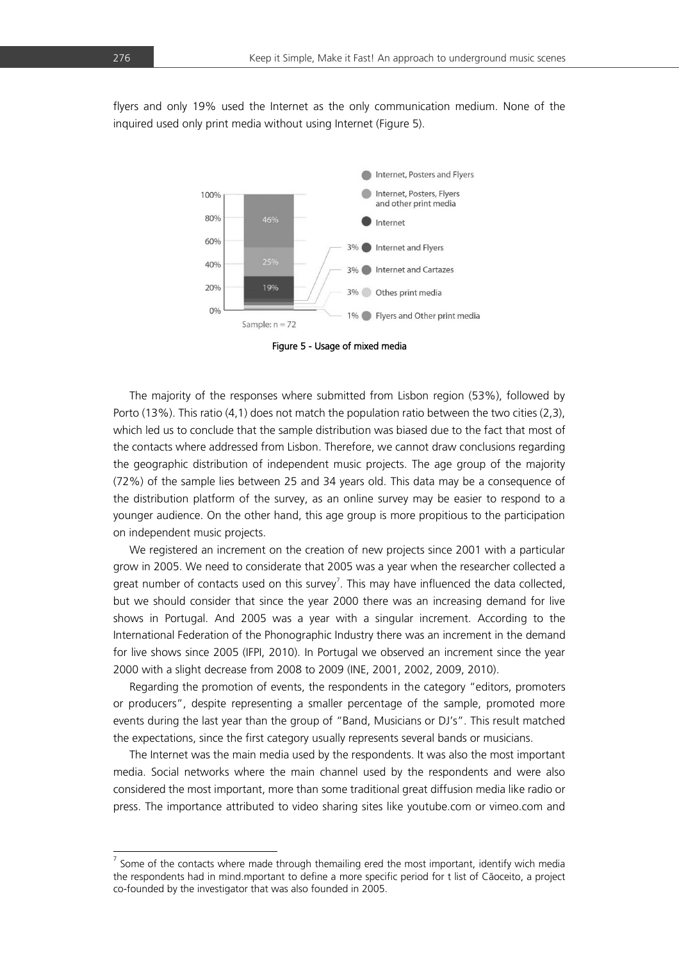flyers and only 19% used the Internet as the only communication medium. None of the inquired used only print media without using Internet (Figure 5).



Figure 5 - Usage of mixed media

The majority of the responses where submitted from Lisbon region (53%), followed by Porto (13%). This ratio (4,1) does not match the population ratio between the two cities (2,3), which led us to conclude that the sample distribution was biased due to the fact that most of the contacts where addressed from Lisbon. Therefore, we cannot draw conclusions regarding the geographic distribution of independent music projects. The age group of the majority (72%) of the sample lies between 25 and 34 years old. This data may be a consequence of the distribution platform of the survey, as an online survey may be easier to respond to a younger audience. On the other hand, this age group is more propitious to the participation on independent music projects.

We registered an increment on the creation of new projects since 2001 with a particular grow in 2005. We need to considerate that 2005 was a year when the researcher collected a great number of contacts used on this survey<sup>7</sup>. This may have influenced the data collected, but we should consider that since the year 2000 there was an increasing demand for live shows in Portugal. And 2005 was a year with a singular increment. According to the International Federation of the Phonographic Industry there was an increment in the demand for live shows since 2005 (IFPI, 2010). In Portugal we observed an increment since the year 2000 with a slight decrease from 2008 to 2009 (INE, 2001, 2002, 2009, 2010).

Regarding the promotion of events, the respondents in the category "editors, promoters or producers", despite representing a smaller percentage of the sample, promoted more events during the last year than the group of "Band, Musicians or DJ's". This result matched the expectations, since the first category usually represents several bands or musicians.

The Internet was the main media used by the respondents. It was also the most important media. Social networks where the main channel used by the respondents and were also considered the most important, more than some traditional great diffusion media like radio or press. The importance attributed to video sharing sites like youtube.com or vimeo.com and

<sup>-&</sup>lt;br>7 Some of the contacts where made through themailing ered the most important, identify wich media the respondents had in mind.mportant to define a more specific period for t list of Cãoceito, a project co-founded by the investigator that was also founded in 2005.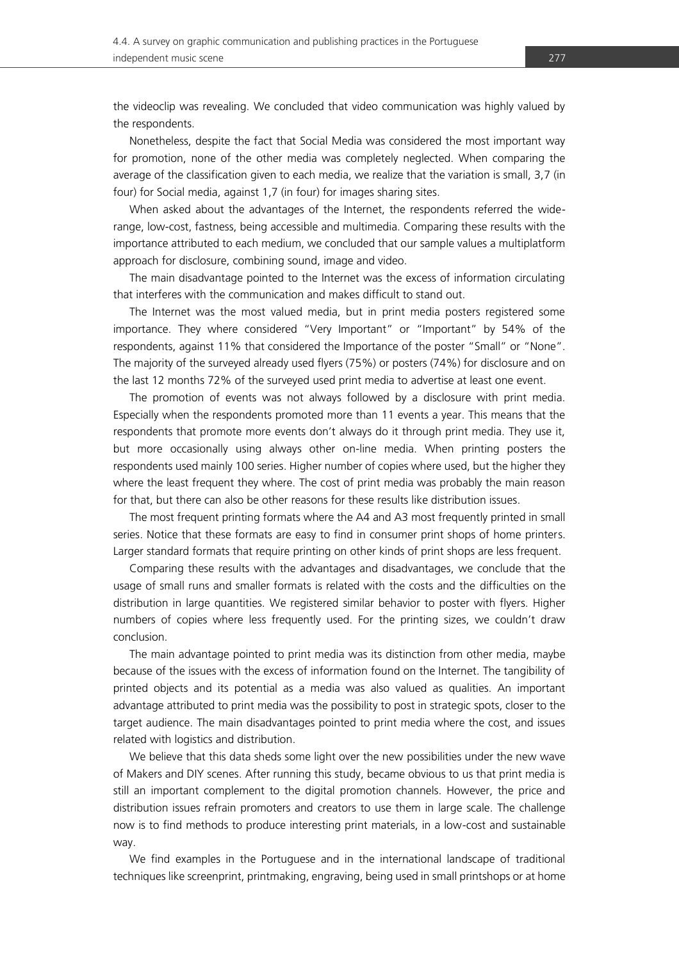Nonetheless, despite the fact that Social Media was considered the most important way for promotion, none of the other media was completely neglected. When comparing the average of the classification given to each media, we realize that the variation is small, 3,7 (in four) for Social media, against 1,7 (in four) for images sharing sites.

When asked about the advantages of the Internet, the respondents referred the widerange, low-cost, fastness, being accessible and multimedia. Comparing these results with the importance attributed to each medium, we concluded that our sample values a multiplatform approach for disclosure, combining sound, image and video.

The main disadvantage pointed to the Internet was the excess of information circulating that interferes with the communication and makes difficult to stand out.

The Internet was the most valued media, but in print media posters registered some importance. They where considered "Very Important" or "Important" by 54% of the respondents, against 11% that considered the Importance of the poster "Small" or "None". The majority of the surveyed already used flyers (75%) or posters (74%) for disclosure and on the last 12 months 72% of the surveyed used print media to advertise at least one event.

The promotion of events was not always followed by a disclosure with print media. Especially when the respondents promoted more than 11 events a year. This means that the respondents that promote more events don't always do it through print media. They use it, but more occasionally using always other on-line media. When printing posters the respondents used mainly 100 series. Higher number of copies where used, but the higher they where the least frequent they where. The cost of print media was probably the main reason for that, but there can also be other reasons for these results like distribution issues.

The most frequent printing formats where the A4 and A3 most frequently printed in small series. Notice that these formats are easy to find in consumer print shops of home printers. Larger standard formats that require printing on other kinds of print shops are less frequent.

Comparing these results with the advantages and disadvantages, we conclude that the usage of small runs and smaller formats is related with the costs and the difficulties on the distribution in large quantities. We registered similar behavior to poster with flyers. Higher numbers of copies where less frequently used. For the printing sizes, we couldn't draw conclusion.

The main advantage pointed to print media was its distinction from other media, maybe because of the issues with the excess of information found on the Internet. The tangibility of printed objects and its potential as a media was also valued as qualities. An important advantage attributed to print media was the possibility to post in strategic spots, closer to the target audience. The main disadvantages pointed to print media where the cost, and issues related with logistics and distribution.

We believe that this data sheds some light over the new possibilities under the new wave of Makers and DIY scenes. After running this study, became obvious to us that print media is still an important complement to the digital promotion channels. However, the price and distribution issues refrain promoters and creators to use them in large scale. The challenge now is to find methods to produce interesting print materials, in a low-cost and sustainable way.

We find examples in the Portuguese and in the international landscape of traditional techniques like screenprint, printmaking, engraving, being used in small printshops or at home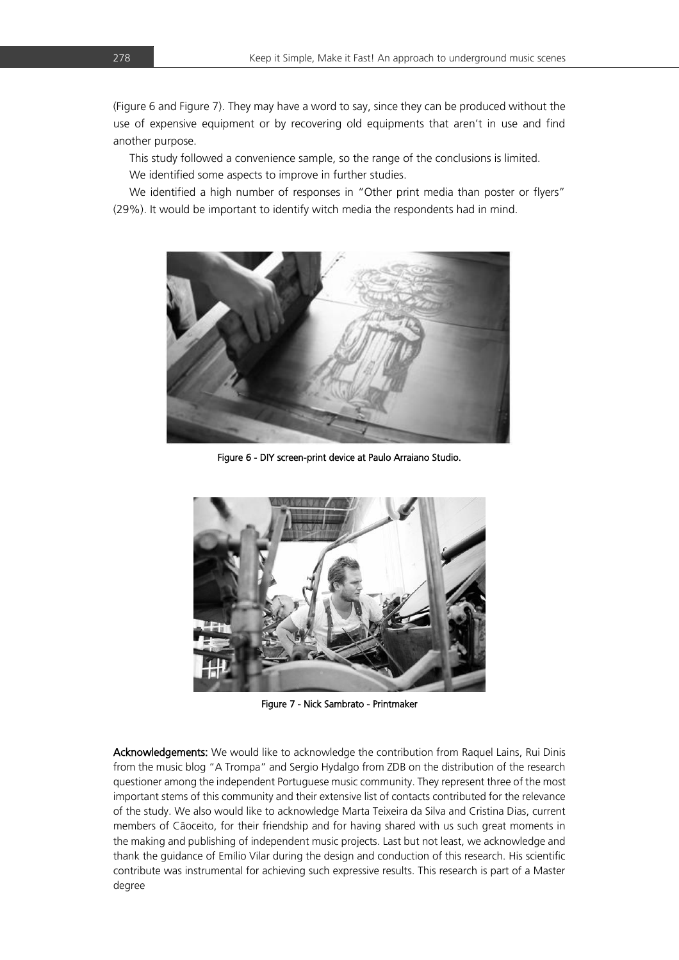(Figure 6 and Figure 7). They may have a word to say, since they can be produced without the use of expensive equipment or by recovering old equipments that aren't in use and find another purpose.

This study followed a convenience sample, so the range of the conclusions is limited. We identified some aspects to improve in further studies.

We identified a high number of responses in "Other print media than poster or flyers" (29%). It would be important to identify witch media the respondents had in mind.



Figure 6 - DIY screen-print device at Paulo Arraiano Studio.



Figure 7 - Nick Sambrato - Printmaker

Acknowledgements: We would like to acknowledge the contribution from Raquel Lains, Rui Dinis from the music blog "A Trompa" and Sergio Hydalgo from ZDB on the distribution of the research questioner among the independent Portuguese music community. They represent three of the most important stems of this community and their extensive list of contacts contributed for the relevance of the study. We also would like to acknowledge Marta Teixeira da Silva and Cristina Dias, current members of Cãoceito, for their friendship and for having shared with us such great moments in the making and publishing of independent music projects. Last but not least, we acknowledge and thank the guidance of Emílio Vilar during the design and conduction of this research. His scientific contribute was instrumental for achieving such expressive results. This research is part of a Master degree